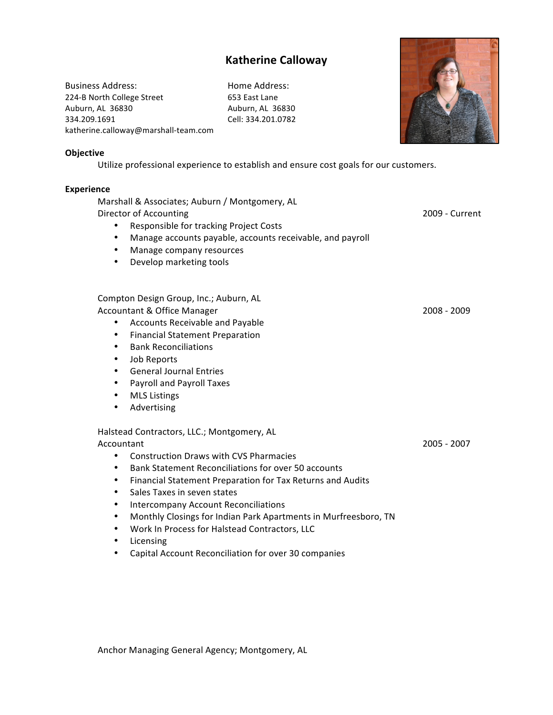# **Katherine Calloway**

Business Address: Home Address: 224-B North College Street 653 East Lane Auburn, AL 36830 Auburn, AL 36830 334.209.1691 Cell: 334.201.0782 katherine.calloway@marshall-team.com



#### **Objective**

Utilize professional experience to establish and ensure cost goals for our customers.

### **Experience**

Marshall & Associates; Auburn / Montgomery, AL Director of Accounting 2009 - Current • Responsible for tracking Project Costs • Manage accounts payable, accounts receivable, and payroll • Manage company resources • Develop marketing tools Compton Design Group, Inc.; Auburn, AL Accountant & Office Manager **2008** - 2009 1 2008 - 2009 • Accounts Receivable and Payable • Financial Statement Preparation • Bank Reconciliations • Job Reports • General Journal Entries • Payroll and Payroll Taxes • MLS Listings • Advertising Halstead Contractors, LLC.; Montgomery, AL Accountant!!!!! 2005!1!2007 • Construction Draws with CVS Pharmacies • Bank Statement Reconciliations for over 50 accounts • Financial Statement Preparation for Tax Returns and Audits

- Sales Taxes in seven states
- Intercompany Account Reconciliations
- Monthly Closings for Indian Park Apartments in Murfreesboro, TN
- Work In Process for Halstead Contractors, LLC
- Licensing
- Capital Account Reconciliation for over 30 companies

Anchor Managing General Agency; Montgomery, AL